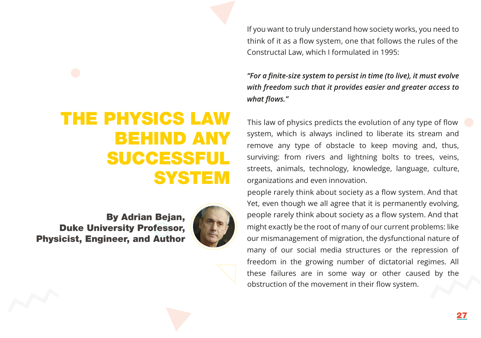THE PHYSICS LAW BEHIND ANY SUCCESSFUL **SYSTEM** 

[By Adrian Bejan,](https://www.linkedin.com/in/adrian-bejan-b30a4514?lipi=urn%3Ali%3Apage%3Ad_flagship3_profile_view_base_contact_details%3B27KflyzkQKeqG0GdsnBv1w%3D%3D) Duke University Professor, Physicist, Engineer, and Author



think of it as a flow system, one that follows the rules of the If you want to truly understand how society works, you need to Constructal Law, which I formulated in 1995:

"For a finite-size system to persist in time (to live), it must evolve *with freedom such that it provides easier and greater access to*  what flows."

This law of physics predicts the evolution of any type of flow system, which is always inclined to liberate its stream and remove any type of obstacle to keep moving and, thus, surviving: from rivers and lightning bolts to trees, veins, streets, animals, technology, knowledge, language, culture, organizations and even innovation.

people rarely think about society as a flow system. And that obstruction of the movement in their flow system. Yet, even though we all agree that it is permanently evolving, people rarely think about society as a flow system. And that might exactly be the root of many of our current problems: like our mismanagement of migration, the dysfunctional nature of many of our social media structures or the repression of freedom in the growing number of dictatorial regimes. All these failures are in some way or other caused by the